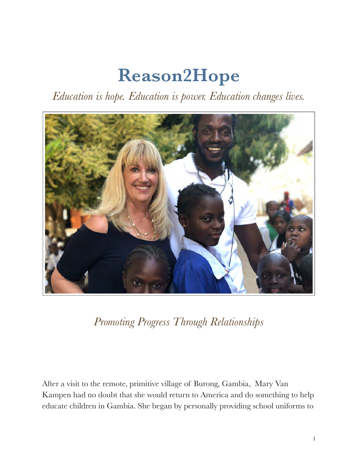## **Reason2Hope**

*Education is hope. Education is power. Education changes lives.* 



*Promoting Progress Through Relationships* 

After a visit to the remote, primitive village of Burong, Gambia, Mary Van Kampen had no doubt that she would return to America and do something to help educate children in Gambia. She began by personally providing school uniforms to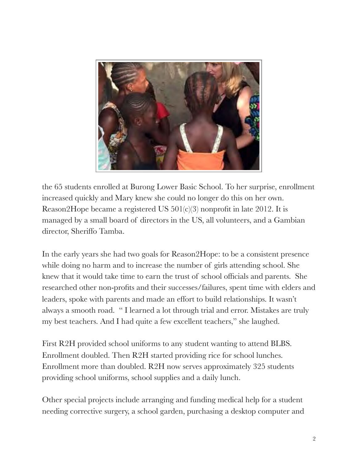

the 65 students enrolled at Burong Lower Basic School. To her surprise, enrollment increased quickly and Mary knew she could no longer do this on her own. Reason2Hope became a registered US 501(c)(3) nonprofit in late 2012. It is managed by a small board of directors in the US, all volunteers, and a Gambian director, Sheriffo Tamba.

In the early years she had two goals for Reason2Hope: to be a consistent presence while doing no harm and to increase the number of girls attending school. She knew that it would take time to earn the trust of school officials and parents. She researched other non-profits and their successes/failures, spent time with elders and leaders, spoke with parents and made an effort to build relationships. It wasn't always a smooth road. " I learned a lot through trial and error. Mistakes are truly my best teachers. And I had quite a few excellent teachers," she laughed.

First R2H provided school uniforms to any student wanting to attend BLBS. Enrollment doubled. Then R2H started providing rice for school lunches. Enrollment more than doubled. R2H now serves approximately 325 students providing school uniforms, school supplies and a daily lunch.

Other special projects include arranging and funding medical help for a student needing corrective surgery, a school garden, purchasing a desktop computer and